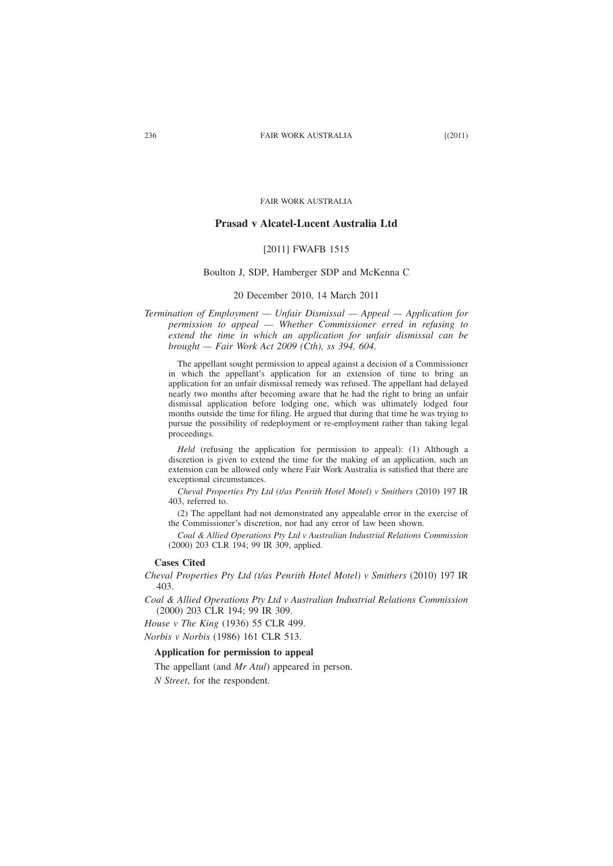FAIR WORK AUSTRALIA

# **Prasad v Alcatel-Lucent Australia Ltd**

## [2011] FWAFB 1515

## Boulton J, SDP, Hamberger SDP and McKenna C

### 20 December 2010, 14 March 2011

*Termination of Employment — Unfair Dismissal — Appeal — Application for permission to appeal — Whether Commissioner erred in refusing to extend the time in which an application for unfair dismissal can be brought — Fair Work Act 2009 (Cth), ss 394, 604*.

The appellant sought permission to appeal against a decision of a Commissioner in which the appellant's application for an extension of time to bring an application for an unfair dismissal remedy was refused. The appellant had delayed nearly two months after becoming aware that he had the right to bring an unfair dismissal application before lodging one, which was ultimately lodged four months outside the time for filing. He argued that during that time he was trying to pursue the possibility of redeployment or re-employment rather than taking legal proceedings.

*Held* (refusing the application for permission to appeal): (1) Although a discretion is given to extend the time for the making of an application, such an extension can be allowed only where Fair Work Australia is satisfied that there are exceptional circumstances.

*Cheval Properties Pty Ltd (t/as Penrith Hotel Motel) v Smithers* (2010) 197 IR 403, referred to.

(2) The appellant had not demonstrated any appealable error in the exercise of the Commissioner's discretion, nor had any error of law been shown.

*Coal & Allied Operations Pty Ltd v Australian Industrial Relations Commission* (2000) 203 CLR 194; 99 IR 309, applied.

# **Cases Cited**

*Cheval Properties Pty Ltd (t/as Penrith Hotel Motel) v Smithers* (2010) 197 IR 403.

*Coal & Allied Operations Pty Ltd v Australian Industrial Relations Commission* (2000) 203 CLR 194; 99 IR 309.

*House v The King* (1936) 55 CLR 499. *Norbis v Norbis* (1986) 161 CLR 513.

#### **Application for permission to appeal**

The appellant (and *Mr Atul*) appeared in person.

*N Street*, for the respondent.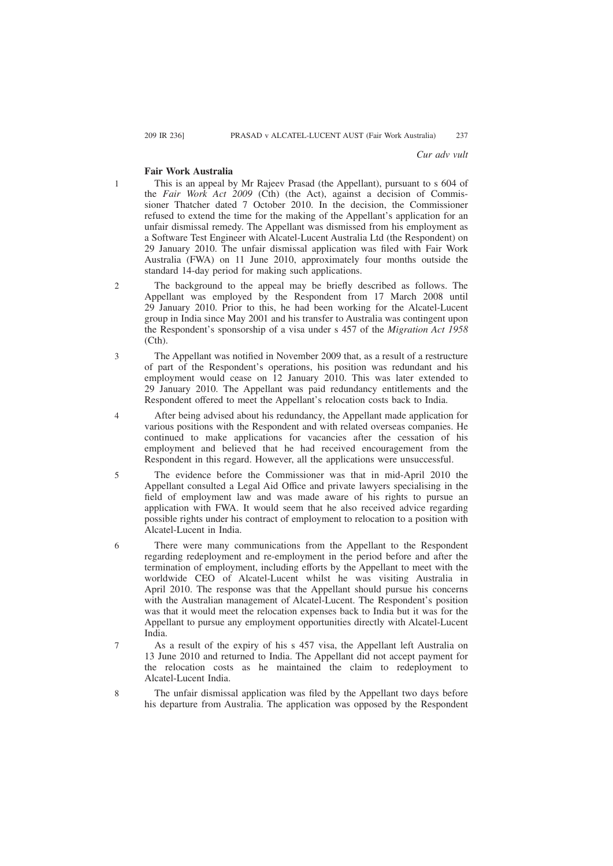1

8

#### *Cur adv vult*

### **Fair Work Australia**

This is an appeal by Mr Rajeev Prasad (the Appellant), pursuant to s 604 of the *Fair Work Act 2009* (Cth) (the Act), against a decision of Commissioner Thatcher dated 7 October 2010. In the decision, the Commissioner refused to extend the time for the making of the Appellant's application for an unfair dismissal remedy. The Appellant was dismissed from his employment as a Software Test Engineer with Alcatel-Lucent Australia Ltd (the Respondent) on 29 January 2010. The unfair dismissal application was filed with Fair Work Australia (FWA) on 11 June 2010, approximately four months outside the standard 14-day period for making such applications.

- The background to the appeal may be briefly described as follows. The Appellant was employed by the Respondent from 17 March 2008 until 29 January 2010. Prior to this, he had been working for the Alcatel-Lucent group in India since May 2001 and his transfer to Australia was contingent upon the Respondent's sponsorship of a visa under s 457 of the *Migration Act 1958* (Cth).  $\mathfrak{Z}$
- The Appellant was notified in November 2009 that, as a result of a restructure of part of the Respondent's operations, his position was redundant and his employment would cease on 12 January 2010. This was later extended to 29 January 2010. The Appellant was paid redundancy entitlements and the Respondent offered to meet the Appellant's relocation costs back to India. 3

After being advised about his redundancy, the Appellant made application for various positions with the Respondent and with related overseas companies. He continued to make applications for vacancies after the cessation of his employment and believed that he had received encouragement from the Respondent in this regard. However, all the applications were unsuccessful. 4

The evidence before the Commissioner was that in mid-April 2010 the Appellant consulted a Legal Aid Office and private lawyers specialising in the field of employment law and was made aware of his rights to pursue an application with FWA. It would seem that he also received advice regarding possible rights under his contract of employment to relocation to a position with Alcatel-Lucent in India. 5

There were many communications from the Appellant to the Respondent regarding redeployment and re-employment in the period before and after the termination of employment, including efforts by the Appellant to meet with the worldwide CEO of Alcatel-Lucent whilst he was visiting Australia in April 2010. The response was that the Appellant should pursue his concerns with the Australian management of Alcatel-Lucent. The Respondent's position was that it would meet the relocation expenses back to India but it was for the Appellant to pursue any employment opportunities directly with Alcatel-Lucent India. 6

As a result of the expiry of his s 457 visa, the Appellant left Australia on 13 June 2010 and returned to India. The Appellant did not accept payment for the relocation costs as he maintained the claim to redeployment to Alcatel-Lucent India. 7

The unfair dismissal application was filed by the Appellant two days before his departure from Australia. The application was opposed by the Respondent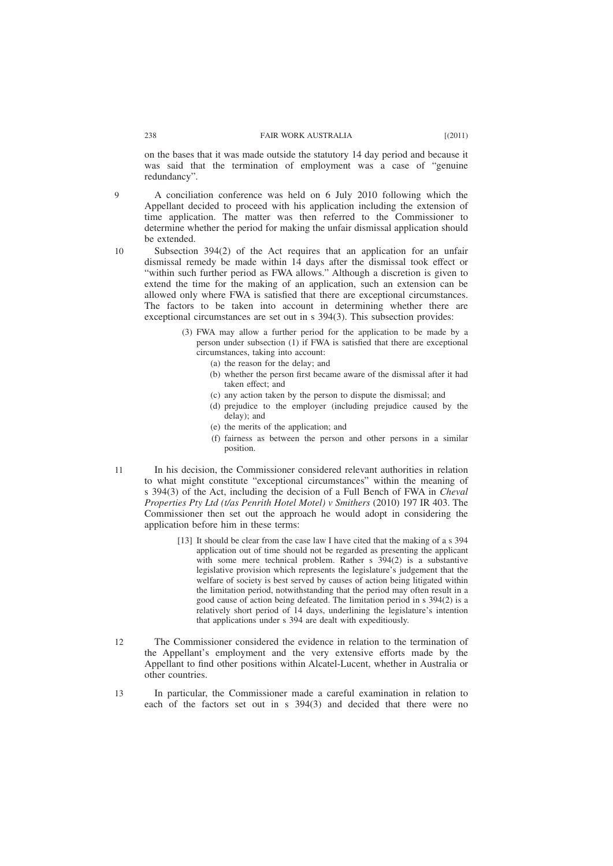#### 238 FAIR WORK AUSTRALIA [(2011)

on the bases that it was made outside the statutory 14 day period and because it was said that the termination of employment was a case of "genuine" redundancy".

 $\Omega$ 

A conciliation conference was held on 6 July 2010 following which the Appellant decided to proceed with his application including the extension of time application. The matter was then referred to the Commissioner to determine whether the period for making the unfair dismissal application should be extended.

10

Subsection 394(2) of the Act requires that an application for an unfair dismissal remedy be made within 14 days after the dismissal took effect or "within such further period as FWA allows." Although a discretion is given to extend the time for the making of an application, such an extension can be allowed only where FWA is satisfied that there are exceptional circumstances. The factors to be taken into account in determining whether there are exceptional circumstances are set out in s 394(3). This subsection provides:

- (3) FWA may allow a further period for the application to be made by a person under subsection (1) if FWA is satisfied that there are exceptional circumstances, taking into account:
	- (a) the reason for the delay; and
	- (b) whether the person first became aware of the dismissal after it had taken effect; and
	- (c) any action taken by the person to dispute the dismissal; and
	- (d) prejudice to the employer (including prejudice caused by the delay); and
	- (e) the merits of the application; and
	- (f) fairness as between the person and other persons in a similar position.
- In his decision, the Commissioner considered relevant authorities in relation to what might constitute "exceptional circumstances" within the meaning of s 394(3) of the Act, including the decision of a Full Bench of FWA in *Cheval Properties Pty Ltd (t/as Penrith Hotel Motel) v Smithers* (2010) 197 IR 403. The Commissioner then set out the approach he would adopt in considering the application before him in these terms: 11
	- [13] It should be clear from the case law I have cited that the making of a s 394 application out of time should not be regarded as presenting the applicant with some mere technical problem. Rather s  $394(2)$  is a substantive legislative provision which represents the legislature's judgement that the welfare of society is best served by causes of action being litigated within the limitation period, notwithstanding that the period may often result in a good cause of action being defeated. The limitation period in s 394(2) is a relatively short period of 14 days, underlining the legislature's intention that applications under s 394 are dealt with expeditiously.
- The Commissioner considered the evidence in relation to the termination of the Appellant's employment and the very extensive efforts made by the Appellant to find other positions within Alcatel-Lucent, whether in Australia or other countries.  $12$
- In particular, the Commissioner made a careful examination in relation to each of the factors set out in s 394(3) and decided that there were no 13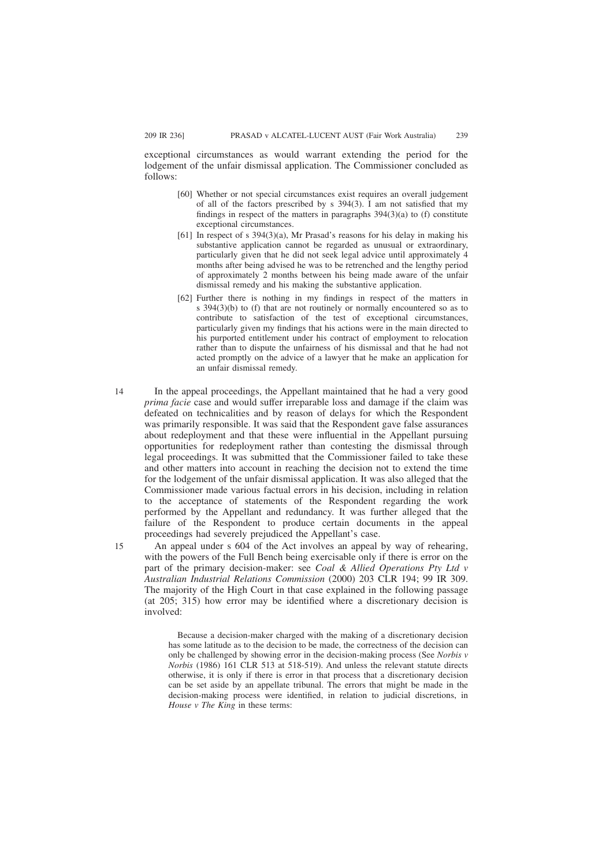exceptional circumstances as would warrant extending the period for the lodgement of the unfair dismissal application. The Commissioner concluded as follows:

- [60] Whether or not special circumstances exist requires an overall judgement of all of the factors prescribed by s 394(3). I am not satisfied that my findings in respect of the matters in paragraphs 394(3)(a) to (f) constitute exceptional circumstances.
- [61] In respect of s 394(3)(a), Mr Prasad's reasons for his delay in making his substantive application cannot be regarded as unusual or extraordinary, particularly given that he did not seek legal advice until approximately 4 months after being advised he was to be retrenched and the lengthy period of approximately 2 months between his being made aware of the unfair dismissal remedy and his making the substantive application.
- [62] Further there is nothing in my findings in respect of the matters in s 394(3)(b) to (f) that are not routinely or normally encountered so as to contribute to satisfaction of the test of exceptional circumstances, particularly given my findings that his actions were in the main directed to his purported entitlement under his contract of employment to relocation rather than to dispute the unfairness of his dismissal and that he had not acted promptly on the advice of a lawyer that he make an application for an unfair dismissal remedy.
- In the appeal proceedings, the Appellant maintained that he had a very good *prima facie* case and would suffer irreparable loss and damage if the claim was defeated on technicalities and by reason of delays for which the Respondent was primarily responsible. It was said that the Respondent gave false assurances about redeployment and that these were influential in the Appellant pursuing opportunities for redeployment rather than contesting the dismissal through legal proceedings. It was submitted that the Commissioner failed to take these and other matters into account in reaching the decision not to extend the time for the lodgement of the unfair dismissal application. It was also alleged that the Commissioner made various factual errors in his decision, including in relation to the acceptance of statements of the Respondent regarding the work performed by the Appellant and redundancy. It was further alleged that the failure of the Respondent to produce certain documents in the appeal proceedings had severely prejudiced the Appellant's case. 14

An appeal under s 604 of the Act involves an appeal by way of rehearing, with the powers of the Full Bench being exercisable only if there is error on the part of the primary decision-maker: see *Coal & Allied Operations Pty Ltd v Australian Industrial Relations Commission* (2000) 203 CLR 194; 99 IR 309. The majority of the High Court in that case explained in the following passage (at 205; 315) how error may be identified where a discretionary decision is involved:

Because a decision-maker charged with the making of a discretionary decision has some latitude as to the decision to be made, the correctness of the decision can only be challenged by showing error in the decision-making process (See *Norbis v Norbis* (1986) 161 CLR 513 at 518-519). And unless the relevant statute directs otherwise, it is only if there is error in that process that a discretionary decision can be set aside by an appellate tribunal. The errors that might be made in the decision-making process were identified, in relation to judicial discretions, in *House v The King* in these terms:

15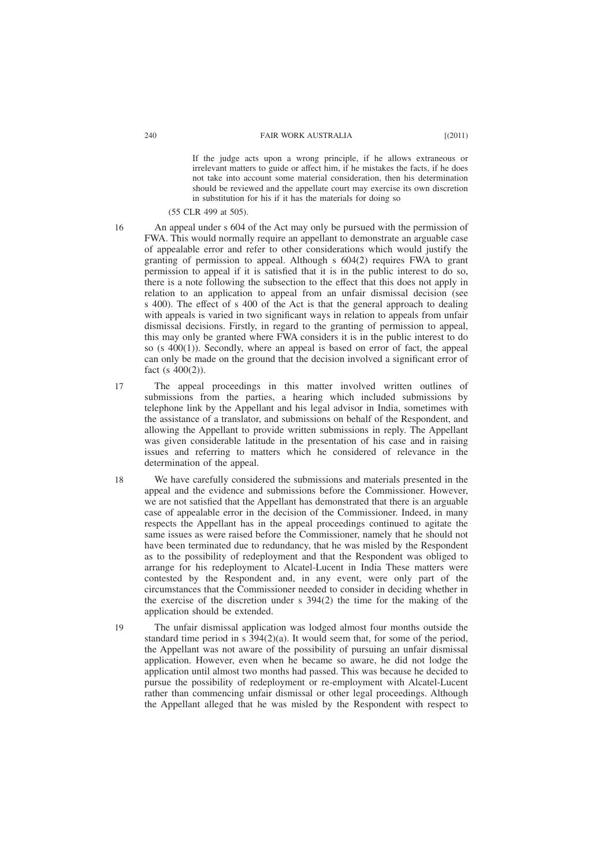If the judge acts upon a wrong principle, if he allows extraneous or irrelevant matters to guide or affect him, if he mistakes the facts, if he does not take into account some material consideration, then his determination should be reviewed and the appellate court may exercise its own discretion in substitution for his if it has the materials for doing so

(55 CLR 499 at 505).

- 16
- An appeal under s 604 of the Act may only be pursued with the permission of FWA. This would normally require an appellant to demonstrate an arguable case of appealable error and refer to other considerations which would justify the granting of permission to appeal. Although s 604(2) requires FWA to grant permission to appeal if it is satisfied that it is in the public interest to do so, there is a note following the subsection to the effect that this does not apply in relation to an application to appeal from an unfair dismissal decision (see s 400). The effect of s 400 of the Act is that the general approach to dealing with appeals is varied in two significant ways in relation to appeals from unfair dismissal decisions. Firstly, in regard to the granting of permission to appeal, this may only be granted where FWA considers it is in the public interest to do so (s 400(1)). Secondly, where an appeal is based on error of fact, the appeal can only be made on the ground that the decision involved a significant error of fact (s  $400(2)$ ).
- The appeal proceedings in this matter involved written outlines of submissions from the parties, a hearing which included submissions by telephone link by the Appellant and his legal advisor in India, sometimes with the assistance of a translator, and submissions on behalf of the Respondent, and allowing the Appellant to provide written submissions in reply. The Appellant was given considerable latitude in the presentation of his case and in raising issues and referring to matters which he considered of relevance in the determination of the appeal. 17
- We have carefully considered the submissions and materials presented in the appeal and the evidence and submissions before the Commissioner. However, we are not satisfied that the Appellant has demonstrated that there is an arguable case of appealable error in the decision of the Commissioner. Indeed, in many respects the Appellant has in the appeal proceedings continued to agitate the same issues as were raised before the Commissioner, namely that he should not have been terminated due to redundancy, that he was misled by the Respondent as to the possibility of redeployment and that the Respondent was obliged to arrange for his redeployment to Alcatel-Lucent in India These matters were contested by the Respondent and, in any event, were only part of the circumstances that the Commissioner needed to consider in deciding whether in the exercise of the discretion under s 394(2) the time for the making of the application should be extended. 18
- The unfair dismissal application was lodged almost four months outside the standard time period in s  $\overline{3}94(2)(a)$ . It would seem that, for some of the period, the Appellant was not aware of the possibility of pursuing an unfair dismissal application. However, even when he became so aware, he did not lodge the application until almost two months had passed. This was because he decided to pursue the possibility of redeployment or re-employment with Alcatel-Lucent rather than commencing unfair dismissal or other legal proceedings. Although the Appellant alleged that he was misled by the Respondent with respect to 19